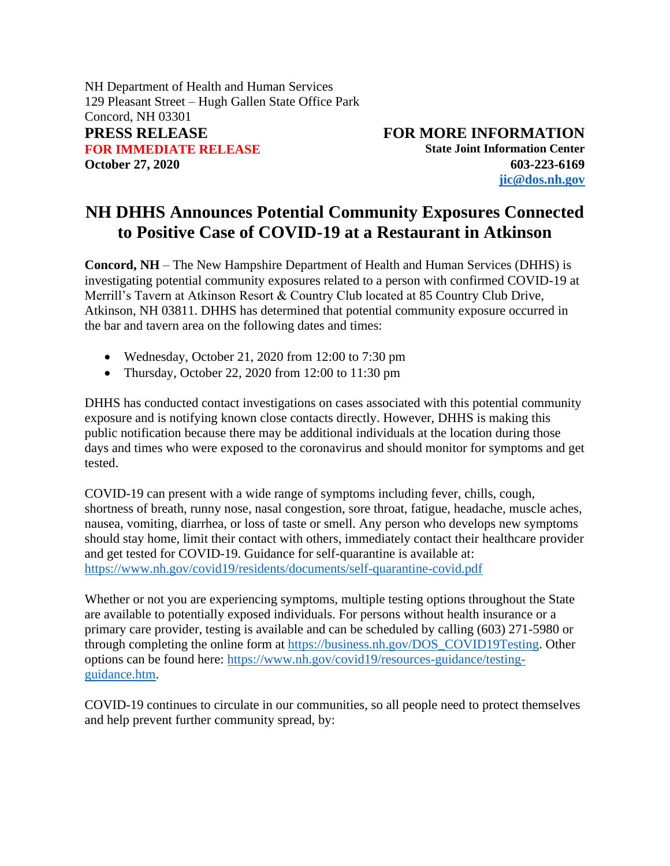NH Department of Health and Human Services 129 Pleasant Street – Hugh Gallen State Office Park Concord, NH 03301 **PRESS RELEASE FOR MORE INFORMATION FOR IMMEDIATE RELEASE State Joint Information Center October 27, 2020 603-223-6169**

**[jic@dos.nh.gov](mailto:jic@dos.nh.gov)**

## **NH DHHS Announces Potential Community Exposures Connected to Positive Case of COVID-19 at a Restaurant in Atkinson**

**Concord, NH** – The New Hampshire Department of Health and Human Services (DHHS) is investigating potential community exposures related to a person with confirmed COVID-19 at Merrill's Tavern at Atkinson Resort & Country Club located at 85 Country Club Drive, Atkinson, NH 03811. DHHS has determined that potential community exposure occurred in the bar and tavern area on the following dates and times:

- Wednesday, October 21, 2020 from 12:00 to 7:30 pm
- Thursday, October 22, 2020 from 12:00 to 11:30 pm

DHHS has conducted contact investigations on cases associated with this potential community exposure and is notifying known close contacts directly. However, DHHS is making this public notification because there may be additional individuals at the location during those days and times who were exposed to the coronavirus and should monitor for symptoms and get tested.

COVID-19 can present with a wide range of symptoms including fever, chills, cough, shortness of breath, runny nose, nasal congestion, sore throat, fatigue, headache, muscle aches, nausea, vomiting, diarrhea, or loss of taste or smell. Any person who develops new symptoms should stay home, limit their contact with others, immediately contact their healthcare provider and get tested for COVID-19. Guidance for self-quarantine is available at: [https://www.nh.gov/covid19/residents/documents/self-quarantine-covid.pdf](https://nam11.safelinks.protection.outlook.com/?url=https%3A%2F%2Fwww.nh.gov%2Fcovid19%2Fresidents%2Fdocuments%2Fself-quarantine-covid.pdf&data=02%7C01%7Cashum%40NCHCNH.org%7C7abcd3c105624151c0c508d87ab8d647%7Cdd987f63d3164cc39fb3cf9f579a041d%7C0%7C1%7C637394281682015704&sdata=YabpRYZCPALq7y0hyRpaTwEyA99sG6BSrgBbA%2FGcYtc%3D&reserved=0)

Whether or not you are experiencing symptoms, multiple testing options throughout the State are available to potentially exposed individuals. For persons without health insurance or a primary care provider, testing is available and can be scheduled by calling (603) 271-5980 or through completing the online form at [https://business.nh.gov/DOS\\_COVID19Testing.](https://nam11.safelinks.protection.outlook.com/?url=https%3A%2F%2Fbusiness.nh.gov%2FDOS_COVID19Testing&data=02%7C01%7Cashum%40NCHCNH.org%7C7abcd3c105624151c0c508d87ab8d647%7Cdd987f63d3164cc39fb3cf9f579a041d%7C0%7C1%7C637394281682015704&sdata=biLx97nQ2S0tfW2eUdOpKnPQ9v5Pes8HSEIcfwjpvk0%3D&reserved=0) Other options can be found here: [https://www.nh.gov/covid19/resources-guidance/testing](https://nam11.safelinks.protection.outlook.com/?url=https%3A%2F%2Fwww.nh.gov%2Fcovid19%2Fresources-guidance%2Ftesting-guidance.htm&data=02%7C01%7Cashum%40NCHCNH.org%7C7abcd3c105624151c0c508d87ab8d647%7Cdd987f63d3164cc39fb3cf9f579a041d%7C0%7C1%7C637394281682025695&sdata=1vBmhSPHnEGlLb%2BHrOyMJEYvoc3JQ0wwKylYiv3Wnh8%3D&reserved=0)[guidance.htm.](https://nam11.safelinks.protection.outlook.com/?url=https%3A%2F%2Fwww.nh.gov%2Fcovid19%2Fresources-guidance%2Ftesting-guidance.htm&data=02%7C01%7Cashum%40NCHCNH.org%7C7abcd3c105624151c0c508d87ab8d647%7Cdd987f63d3164cc39fb3cf9f579a041d%7C0%7C1%7C637394281682025695&sdata=1vBmhSPHnEGlLb%2BHrOyMJEYvoc3JQ0wwKylYiv3Wnh8%3D&reserved=0)

COVID-19 continues to circulate in our communities, so all people need to protect themselves and help prevent further community spread, by: